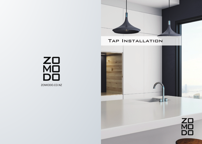# Tap Installation

 $\mathbb{R}$ 

ZO<br>MO<br>DO ZOMODO.CO.NZ

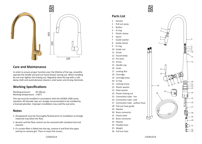

#### **Care and Maintenance**

In order to ensure proper function over the lifetime of the tap, smoothly operate the handle and pull-out hand shower during use. When installing do not over tighten the locking nut. Regularly clean the tap with a soft, damp cloth and avoid abrasive cleaners, steel wool, and strong chemicals.

## **Working Specifications**

Working pressure: 20-100 psi Working temperature: 1-60°C

This tap must be installed in accordance with the AS/NZS 3500 series standard. All Zomodo taps are stongly recommended to be installed by

#### **Notes**

- 1. All pipework must be thoroughly flushed prior to installation as foreign materials may block the flow .
- 2. Aerator and the flow control can be removed with standard tool and cleaned.
- 3. If a screen-filter is fitted into the tap, remove it and flush the pipes and tap to remove grit. Then re-insert the screen.



### **Parts List**

- 1 Aerator
- 2 Pull out spray
- 3 Button
- 4 O-ring
- 5 Plastic sleeve
- 6 Spout
- 7 Guide washer
- 8 Guide sleeve
- 9 O-ring
- 10 Guide nut
- 11 Screw
- 12 Faucet body
- 13 Pin lever
- 14 Screw
- 15 Handle cap
- 16 Cover
- 17 Locking Nut
- 18 Cartridge
- 19 Cartridge base
- 20 O-ring
- 21 Locking Screw
- 22 Plastic washer
- 23 Steel washer
- 24 Plastic locking nut
- 25 Connection tube hot
- 26 Connection tube- cold
- 27 Connection tube pullout hose
- 28 Pull-out hose guide
- 29 Washer
- 30 Brass connector
- 31 Check-valve
- 32 Brass connector
- 33 Washer
- 34 Flexible hose
- 35 Weight
- 36 Pull out hose



33

32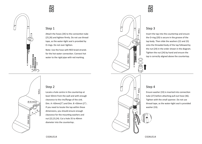

# ZO<br>MO<br>DO

#### Step 1

Attach the hoses (34) to the connection tube (25,26) and tighten firmly. Do not use thread tape, as the water-tight seal is provided by O-rings. Do not over tighten.

Note: Use the hose with RED braid-strands for the hot water connection. Connect hot water to the rigid pipe with red marking.



#### Step 3

Insert the tap into the countertop and ensure the O-ring (20) is secure in the groove of the tap body. Then slide the washers (22 and 23) onto the threaded body of the tap followed by the nut (24) in the order shown in the diagram. Tighten the nut (24) by hand and ensure the tap is correctly aligned above the countertop.

#### Step 2

WALL

B

Locate a hole centre in the countertop at least 50mm from the wall and with enough clearance to the rim/flange of the sink. Dim. A >50mm(2") and Dim. B >50mm (2") . If you need to locate the tap within these dimensions, you should ensure enough clearance for the mounting washers and nut (22,23,24). Cut a hole 35 to 40mm diameter into the countertop .



#### Step 4

Ensure washer (33) is inserted into connection tube (27) before attaching pull-out hose (36). Tighten with the small spanner. Do not use thread tape, as the water-tight seal is provided washer (33).

SINK WALL

**SINK WAL** 

A

Ø 35-40mm